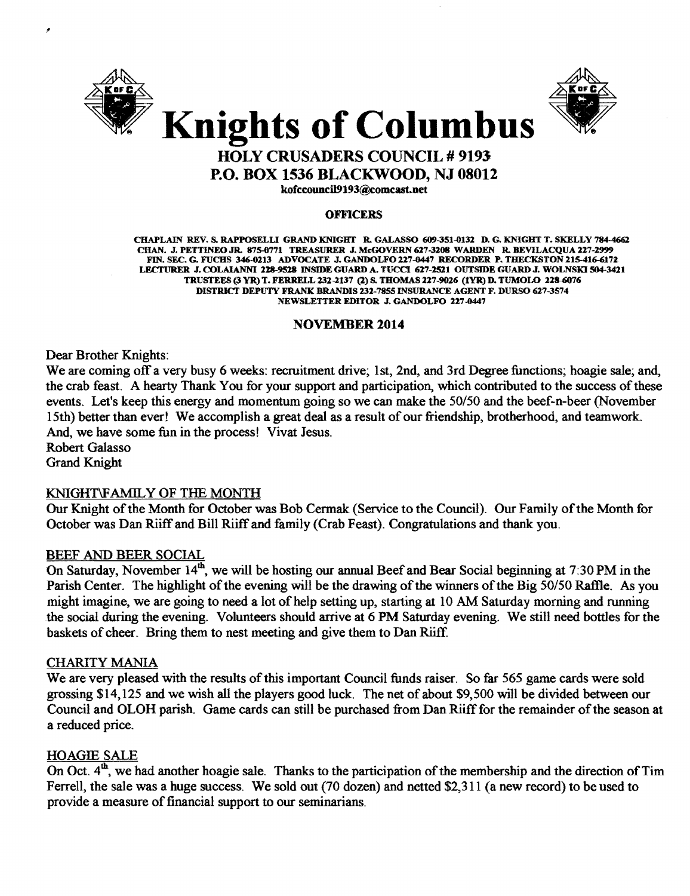



## HOLY CRUSADERS COUNCIL # 9193 P.O. BOX 1536 BLACKWOOD, NJ 08012

kofccouncil9193@comcast.net

#### **OFFICERS**

CHAPLAIN REV. S. RAPPOSELLI GRAND KNIGHT R. GALASSO 609-351-0132 D. G. KNIGHT T. SKELLY 784-4662 CHAN. J. PETTINEO JR. 875-0771 TREASURER J. MeGOVERN 627-3208 WARDEN R. BEVILACQUA 227-2999 FIN. SEC. G. FUCHS 346-0213 ADVOCATE J. GANDOLFO 227-0447 RECORDER P. THECKSTON 215-416-6172 LECTURER J. COLAIANNI 228-9528 INSIDE GUARD A. TUCCI 627-2521 OUTSIDE GUARD J. WOLNSKI 504-3421 TRUSTEES (3 YR) T. FERRELL 232-2137 (2) s. THOMAS 227-9026 (tYR) D. TUMOLO 228-Q176 DISTRICT DEPUTY FRANK BRANDIS 232-7855 INSURANCE AGENT F. DURSO 627-3574 NEWSLETTER EDITOR J. GANDOLFO 227-0447

#### NOVEMBER 2014

Dear Brother Knights:

We are coming off a very busy 6 weeks: recruitment drive; 1st, 2nd, and 3rd Degree functions; hoagie sale; and, the crab feast. A hearty Thank You for your support and participation, which contributed to the success of these events. Let's keep this energy and momentum going so we can make the *50/50* and the beef·n·beer (November 15th) better than ever! We accomplish a great deal as a result of our friendship, brotherhood, and teamwork. And, we have some fun in the process! Vivat Jesus.

Robert Galasso Grand Knight

•

#### KNIGHT\F AMIL Y OF THE MONTH

Our Knight of the Month for October was Bob Cermak (Service to the Council). Our Family of the Month for October was Dan Riiff and Bill Riiff and family (Crab Feast). Congratulations and thank you.

#### BEEF AND BEER SOCIAL

On Saturday, November  $14<sup>th</sup>$ , we will be hosting our annual Beef and Bear Social beginning at 7:30 PM in the Parish Center. The highlight of the evening will be the drawing of the winners of the Big 50/50 Raffle. As you might imagine, we are going to need a lot of help setting up, starting at 10 AM Saturday morning and running the social during the evening. Volunteers should arrive at 6 PM Saturday evening. We still need bottles for the baskets of cheer. Bring them to nest meeting and give them to Dan Riiff

#### CHARITY MANIA

We are very pleased with the results of this important Council funds raiser. So far 565 game cards were sold grossing \$14,125 and we wish all the players good luck. The net of about \$9,500 will be divided between our Council and OLOH parish. Game cards can still be purchased from Dan Riiff for the remainder of the season at a reduced price.

#### HOAGIE SALE

On Oct.  $4^{\text{th}}$ , we had another hoagie sale. Thanks to the participation of the membership and the direction of Tim Ferrell, the sale was a huge success. We sold out (70 dozen) and netted \$2,311 (a new record) to be used to provide a measure of financial support to our seminarians.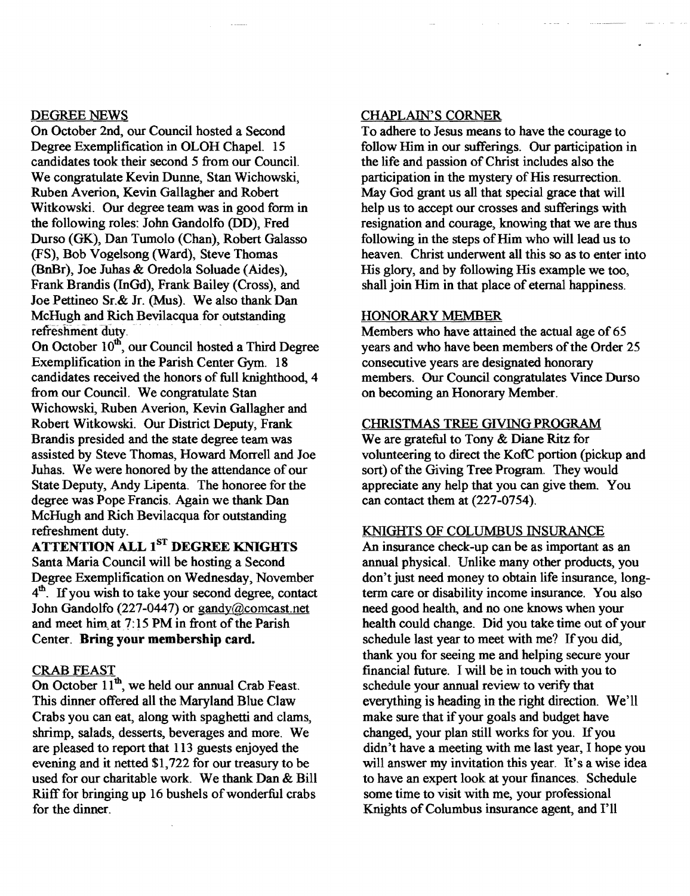#### DEGREE NEWS

On October 2nd, our Council hosted a Second Degree Exemplification in OLOH Chapel. 15 candidates took their second 5 from our Council. We congratulate Kevin Dunne, Stan Wichowski, Ruben Averion, Kevin Gallagher and Robert Witkowski. Our degree team was in good form in the following roles: John Gandolfo (DD), Fred Durso (GK), Dan Tumolo (Chan), Robert Galasso (FS), Bob Vogelsong (Ward), Steve Thomas (BnBr), Joe Juhas & Oredola Soluade (Aides), Frank Brandis (InGd), Frank Bailey (Cross), and Joe Pettineo Sr.& Jr. (Mus). We also thank Dan McHugh and Rich Bevilacqua for outstanding refreshment duty.

On October 10<sup>th</sup>, our Council hosted a Third Degree Exemplification in the Parish Center Gym. 18 candidates received the honors of full knighthood, 4 from our Council. We congratulate Stan Wichowski, Ruben Averion, Kevin Gallagher and Robert Witkowski. Our District Deputy, Frank Brandis presided and the state degree team was assisted by Steve Thomas, Howard Morrell and Joe Juhas. We were honored by the attendance of our State Deputy, Andy Lipenta. The honoree for the degree was Pope Francis. Again we thank Dan McHugh and Rich Bevilacqua for outstanding refreshment duty.

### ATTENTION ALL 1<sup>ST</sup> DEGREE KNIGHTS

Santa Maria Council will be hosting a Second Degree Exemplification on Wednesday, November  $4<sup>th</sup>$ . If you wish to take your second degree, contact John Gandolfo (227-0447) or gandy@comcast.net and meet him at 7:15 PM in front of the Parish Center. Bring your membership card.

#### CRAB FEAST

On October  $11<sup>th</sup>$ , we held our annual Crab Feast. This dinner offered all the Maryland Blue Claw Crabs you can eat, along with spaghetti and clams, shrimp, salads, desserts, beverages and more. We are pleased to report that 113 guests enjoyed the evening and it netted \$1,722 for our treasury to be used for our charitable work. We thank Dan & Bill Riiff for bringing up 16 bushels of wonderful crabs for the dinner.

#### CHAPLAIN'S CORNER

To adhere to Jesus means to have the courage to follow Him in our sufferings. Our participation in the life and passion of Christ includes also the participation in the mystery of His resurrection. May God grant us all that special grace that will help us to accept our crosses and sufferings with resignation and courage, knowing that we are thus following in the steps of Him who will lead us to heaven. Christ underwent all this so as to enter into His glory, and by following His example we too, shall join Him in that place of eternal happiness.

#### HONORARY MEMBER

Members who have attained the actual age of 65 years and who have been members of the Order 25 consecutive years are designated honorary members. Our Council congratulates Vince Durso on becoming an Honorary Member.

#### CHRISTMAS TREE GIVING PROGRAM

We are grateful to Tony & Diane Ritz for volunteering to direct the KofC portion (pickup and sort) of the Giving Tree Program. They would appreciate any help that you can give them. You can contact them at (227-0754).

#### KNIGHTS OF COLUMBUS INSURANCE

An insurance check-up can be as important as an annual physical. Unlike many other products, you don't just need money to obtain life insurance, longterm care or disability income insurance. You also need good health, and no one knows when your health could change. Did you take time out of your schedule last year to meet with me? If you did, thank you for seeing me and helping secure your financial future. I will be in touch with you to schedule your annual review to verify that everything is heading in the right direction. We'll make sure that if your goals and budget have changed, your plan still works for you. If you didn't have a meeting with me last year, I hope you will answer my invitation this year. It's a wise idea to have an expert look at your finances. Schedule some time to visit with me, your professional Knights of Columbus insurance agent, and I'll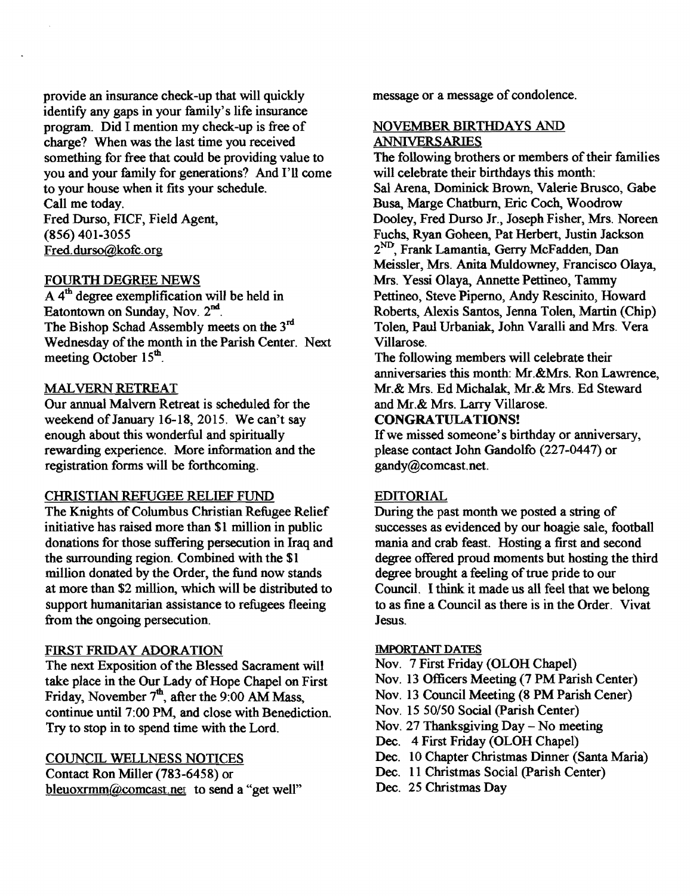provide an insurance check-up that will quickly identify any gaps in your family's life insurance program. Did I mention my check-up is free of charge? When was the last time you received something for free that could be providing value to you and your family for generations? And I'll come to your house when it fits your schedule. Call me today.

Fred Durso, FICF, Field Agent, (856) 401-3055 Fred.durso@kofc.org

#### FOURTII DEGREE NEWS

 $\overline{A}$  4<sup>th</sup> degree exemplification will be held in Eatontown on Sunday, Nov. 2<sup>nd</sup>. The Bishop Schad Assembly meets on the 3<sup>rd</sup> Wednesday of the month in the Parish Center. Next meeting October 15<sup>th</sup>.

#### MALVERN RETREAT

Our annual Malvern Retreat is scheduled for the weekend of January 16-18, 2015. We can't say enough about this wonderful and spiritually rewarding experience. More information and the registration forms will be forthcoming.

#### CHRISTIAN REFUGEE RELIEF FUND

The Knights of Columbus Christian Refugee Relief initiative has raised more than \$1 million in public donations for those suffering persecution in Iraq and the surrounding region. Combined with the \$1 million donated by the Order, the fund now stands at more than \$2 million, which will be distributed to support humanitarian assistance to refugees fleeing from the ongoing persecution.

#### FIRST FRIDAY ADORATION

The next Exposition of the Blessed Sacrament will take place in the Our Lady of Hope Chapel on First Friday, November  $7<sup>th</sup>$ , after the 9:00 AM Mass, continue until 7:00 PM, and close with Benediction. Try to stop in to spend time with the Lord.

#### COUNCIL WELLNESS NOTICES

Contact Ron Miller (783-6458) or bleuoxrmm@comcast.net to send a "get well" message or a message of condolence.

#### NOVEMBER BIRTHDAYS AND ANNIVERSARIES

The following brothers or members of their families will celebrate their birthdays this month: Sal Arena, Dominick Brown, Valerie Brusco, Gabe Busa, Marge Chatburn, Eric Coch, Woodrow Dooley, Fred Durso Jr., Joseph Fisher, Mrs. Noreen Fuchs, Ryan Goheen, Pat Herbert, Justin Jackson 2ND , Frank Lamantia, Gerry McFadden, Dan Meissler, Mrs. Anita Muldowney, Francisco Olaya, Mrs. Yessi Olaya, Annette Pettineo, Tammy Pettineo, Steve Piperno, Andy Rescinito, Howard Roberts, Alexis Santos, Jenna Tolen, Martin (Chip) Tolen, Paul Urbaniak, John Varalli and Mrs. Vera Villarose.

The following members will celebrate their anniversaries this month: Mr.&Mrs. Ron Lawrence, Mr.& Mrs. Ed Michalak, Mr.& Mrs. Ed Steward and Mr.& Mrs. Larry Villarose.

#### CONGRATULATIONS!

If we missed someone's birthday or anniversary, please contact John Gandolfo (227-0447) or gandy@comcast.net.

#### EDITORIAL

During the past month we posted a string of successes as evidenced by our hoagie sale, football mania and crab feast. Hosting a first and second degree offered proud moments but hosting the third degree brought a feeling of true pride to our Council. I think it made us all feel that we belong to as fine a Council as there is in the Order. Vivat Jesus.

#### **IMPORTANT DATES**

Nov. 7 First Friday (OLOH Chapel)

Nov. 13 Officers Meeting (7 PM Parish Center)

- Nov. 13 Council Meeting (8 PM Parish Cener)
- Nov. 15 SO/50 Social (parish Center)
- Nov. 27 Thanksgiving Day No meeting
- Dec. 4 First Friday (OLOH Chapel)
- Dec. 10 Chapter Christmas Dinner (Santa Maria)
- Dec. 11 Christmas Social (Parish Center)
- Dec. 25 Christmas Day